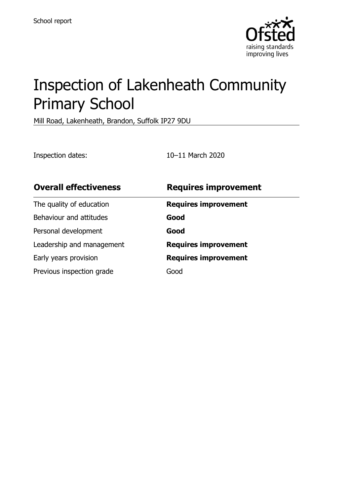

# Inspection of Lakenheath Community Primary School

Mill Road, Lakenheath, Brandon, Suffolk IP27 9DU

Inspection dates: 10–11 March 2020

| <b>Overall effectiveness</b> | <b>Requires improvement</b> |
|------------------------------|-----------------------------|
| The quality of education     | <b>Requires improvement</b> |
| Behaviour and attitudes      | Good                        |
| Personal development         | Good                        |
| Leadership and management    | <b>Requires improvement</b> |
| Early years provision        | <b>Requires improvement</b> |
| Previous inspection grade    | Good                        |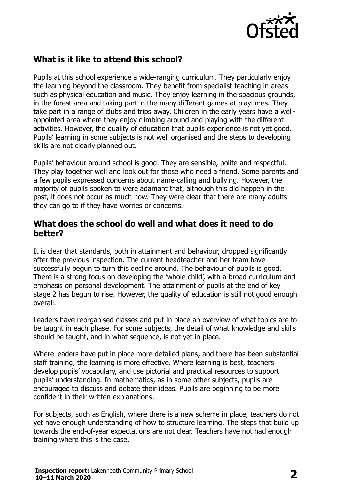

## **What is it like to attend this school?**

Pupils at this school experience a wide-ranging curriculum. They particularly enjoy the learning beyond the classroom. They benefit from specialist teaching in areas such as physical education and music. They enjoy learning in the spacious grounds, in the forest area and taking part in the many different games at playtimes. They take part in a range of clubs and trips away. Children in the early years have a wellappointed area where they enjoy climbing around and playing with the different activities. However, the quality of education that pupils experience is not yet good. Pupils' learning in some subjects is not well organised and the steps to developing skills are not clearly planned out.

Pupils' behaviour around school is good. They are sensible, polite and respectful. They play together well and look out for those who need a friend. Some parents and a few pupils expressed concerns about name-calling and bullying. However, the majority of pupils spoken to were adamant that, although this did happen in the past, it does not occur as much now. They were clear that there are many adults they can go to if they have worries or concerns.

#### **What does the school do well and what does it need to do better?**

It is clear that standards, both in attainment and behaviour, dropped significantly after the previous inspection. The current headteacher and her team have successfully begun to turn this decline around. The behaviour of pupils is good. There is a strong focus on developing the 'whole child', with a broad curriculum and emphasis on personal development. The attainment of pupils at the end of key stage 2 has begun to rise. However, the quality of education is still not good enough overall.

Leaders have reorganised classes and put in place an overview of what topics are to be taught in each phase. For some subjects, the detail of what knowledge and skills should be taught, and in what sequence, is not yet in place.

Where leaders have put in place more detailed plans, and there has been substantial staff training, the learning is more effective. Where learning is best, teachers develop pupils' vocabulary, and use pictorial and practical resources to support pupils' understanding. In mathematics, as in some other subjects, pupils are encouraged to discuss and debate their ideas. Pupils are beginning to be more confident in their written explanations.

For subjects, such as English, where there is a new scheme in place, teachers do not yet have enough understanding of how to structure learning. The steps that build up towards the end-of-year expectations are not clear. Teachers have not had enough training where this is the case.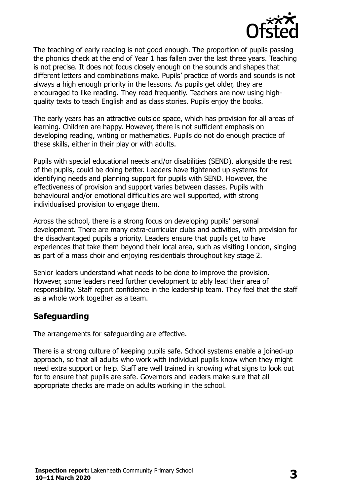

The teaching of early reading is not good enough. The proportion of pupils passing the phonics check at the end of Year 1 has fallen over the last three years. Teaching is not precise. It does not focus closely enough on the sounds and shapes that different letters and combinations make. Pupils' practice of words and sounds is not always a high enough priority in the lessons. As pupils get older, they are encouraged to like reading. They read frequently. Teachers are now using highquality texts to teach English and as class stories. Pupils enjoy the books.

The early years has an attractive outside space, which has provision for all areas of learning. Children are happy. However, there is not sufficient emphasis on developing reading, writing or mathematics. Pupils do not do enough practice of these skills, either in their play or with adults.

Pupils with special educational needs and/or disabilities (SEND), alongside the rest of the pupils, could be doing better. Leaders have tightened up systems for identifying needs and planning support for pupils with SEND. However, the effectiveness of provision and support varies between classes. Pupils with behavioural and/or emotional difficulties are well supported, with strong individualised provision to engage them.

Across the school, there is a strong focus on developing pupils' personal development. There are many extra-curricular clubs and activities, with provision for the disadvantaged pupils a priority. Leaders ensure that pupils get to have experiences that take them beyond their local area, such as visiting London, singing as part of a mass choir and enjoying residentials throughout key stage 2.

Senior leaders understand what needs to be done to improve the provision. However, some leaders need further development to ably lead their area of responsibility. Staff report confidence in the leadership team. They feel that the staff as a whole work together as a team.

## **Safeguarding**

The arrangements for safeguarding are effective.

There is a strong culture of keeping pupils safe. School systems enable a joined-up approach, so that all adults who work with individual pupils know when they might need extra support or help. Staff are well trained in knowing what signs to look out for to ensure that pupils are safe. Governors and leaders make sure that all appropriate checks are made on adults working in the school.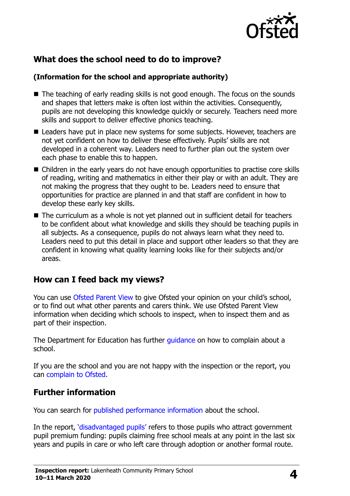

# **What does the school need to do to improve?**

#### **(Information for the school and appropriate authority)**

- The teaching of early reading skills is not good enough. The focus on the sounds and shapes that letters make is often lost within the activities. Consequently, pupils are not developing this knowledge quickly or securely. Teachers need more skills and support to deliver effective phonics teaching.
- **Leaders have put in place new systems for some subjects. However, teachers are** not yet confident on how to deliver these effectively. Pupils' skills are not developed in a coherent way. Leaders need to further plan out the system over each phase to enable this to happen.
- Children in the early years do not have enough opportunities to practise core skills of reading, writing and mathematics in either their play or with an adult. They are not making the progress that they ought to be. Leaders need to ensure that opportunities for practice are planned in and that staff are confident in how to develop these early key skills.
- The curriculum as a whole is not yet planned out in sufficient detail for teachers to be confident about what knowledge and skills they should be teaching pupils in all subjects. As a consequence, pupils do not always learn what they need to. Leaders need to put this detail in place and support other leaders so that they are confident in knowing what quality learning looks like for their subjects and/or areas.

## **How can I feed back my views?**

You can use [Ofsted Parent View](http://parentview.ofsted.gov.uk/) to give Ofsted your opinion on your child's school, or to find out what other parents and carers think. We use Ofsted Parent View information when deciding which schools to inspect, when to inspect them and as part of their inspection.

The Department for Education has further quidance on how to complain about a school.

If you are the school and you are not happy with the inspection or the report, you can [complain to Ofsted.](http://www.gov.uk/complain-ofsted-report)

## **Further information**

You can search for [published performance information](http://www.compare-school-performance.service.gov.uk/) about the school.

In the report, '[disadvantaged pupils](http://www.gov.uk/guidance/pupil-premium-information-for-schools-and-alternative-provision-settings)' refers to those pupils who attract government pupil premium funding: pupils claiming free school meals at any point in the last six years and pupils in care or who left care through adoption or another formal route.

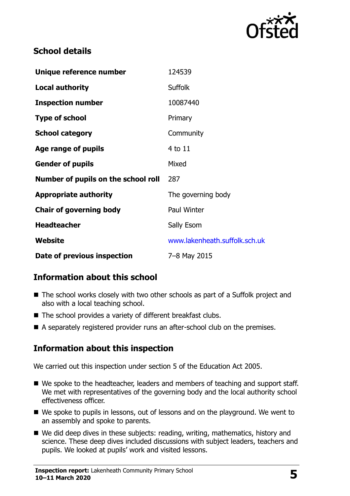

# **School details**

| Unique reference number             | 124539                        |
|-------------------------------------|-------------------------------|
| <b>Local authority</b>              | <b>Suffolk</b>                |
| <b>Inspection number</b>            | 10087440                      |
| <b>Type of school</b>               | Primary                       |
| <b>School category</b>              | Community                     |
| Age range of pupils                 | 4 to 11                       |
| <b>Gender of pupils</b>             | Mixed                         |
| Number of pupils on the school roll | 287                           |
| <b>Appropriate authority</b>        | The governing body            |
| <b>Chair of governing body</b>      | <b>Paul Winter</b>            |
| <b>Headteacher</b>                  | Sally Esom                    |
| Website                             | www.lakenheath.suffolk.sch.uk |
| Date of previous inspection         | 7-8 May 2015                  |

# **Information about this school**

- The school works closely with two other schools as part of a Suffolk project and also with a local teaching school.
- The school provides a variety of different breakfast clubs.
- A separately registered provider runs an after-school club on the premises.

# **Information about this inspection**

We carried out this inspection under section 5 of the Education Act 2005.

- We spoke to the headteacher, leaders and members of teaching and support staff. We met with representatives of the governing body and the local authority school effectiveness officer.
- We spoke to pupils in lessons, out of lessons and on the playground. We went to an assembly and spoke to parents.
- We did deep dives in these subjects: reading, writing, mathematics, history and science. These deep dives included discussions with subject leaders, teachers and pupils. We looked at pupils' work and visited lessons.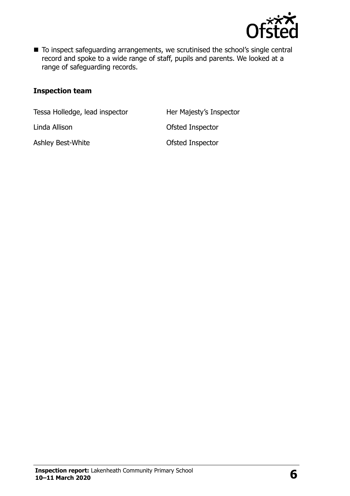

■ To inspect safeguarding arrangements, we scrutinised the school's single central record and spoke to a wide range of staff, pupils and parents. We looked at a range of safeguarding records.

#### **Inspection team**

Tessa Holledge, lead inspector **Her Majesty's Inspector** 

Linda Allison Ofsted Inspector

Ashley Best-White **Contact Contact Contact Ashley Best-White** Contact Contact Contact Contact Contact Contact Contact Contact Contact Contact Contact Contact Contact Contact Contact Contact Contact Contact Contact Contact